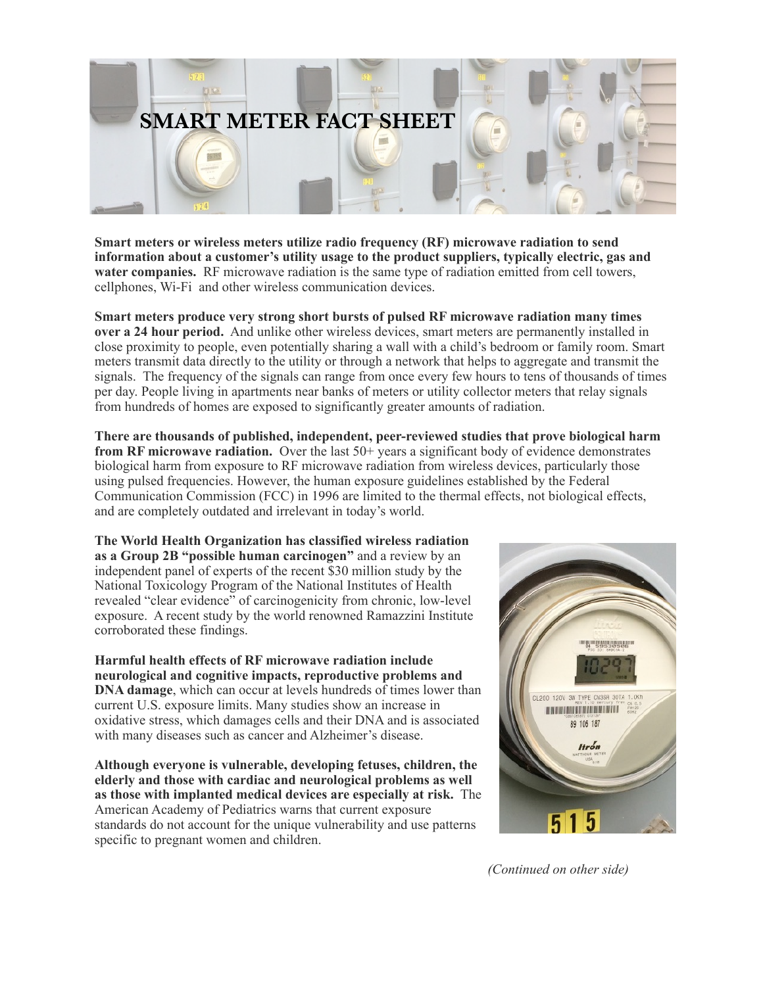

**Smart meters or wireless meters utilize radio frequency (RF) microwave radiation to send information about a customer's utility usage to the product suppliers, typically electric, gas and water companies.** RF microwave radiation is the same type of radiation emitted from cell towers, cellphones, Wi-Fi and other wireless communication devices.

**Smart meters produce very strong short bursts of pulsed RF microwave radiation many times over a 24 hour period.** And unlike other wireless devices, smart meters are permanently installed in close proximity to people, even potentially sharing a wall with a child's bedroom or family room. Smart meters transmit data directly to the utility or through a network that helps to aggregate and transmit the signals. The frequency of the signals can range from once every few hours to tens of thousands of times per day. People living in apartments near banks of meters or utility collector meters that relay signals from hundreds of homes are exposed to significantly greater amounts of radiation.

**There are thousands of published, independent, peer-reviewed studies that prove biological harm from RF microwave radiation.** Over the last 50+ years a significant body of evidence demonstrates biological harm from exposure to RF microwave radiation from wireless devices, particularly those using pulsed frequencies. However, the human exposure guidelines established by the Federal Communication Commission (FCC) in 1996 are limited to the thermal effects, not biological effects, and are completely outdated and irrelevant in today's world.

**The World Health Organization has classified wireless radiation as a Group 2B "possible human carcinogen"** and a review by an independent panel of experts of the recent \$30 million study by the National Toxicology Program of the National Institutes of Health revealed "clear evidence" of carcinogenicity from chronic, low-level exposure. A recent study by the world renowned Ramazzini Institute corroborated these findings.

**Harmful health effects of RF microwave radiation include neurological and cognitive impacts, reproductive problems and DNA damage**, which can occur at levels hundreds of times lower than current U.S. exposure limits. Many studies show an increase in oxidative stress, which damages cells and their DNA and is associated with many diseases such as cancer and Alzheimer's disease.

**Although everyone is vulnerable, developing fetuses, children, the elderly and those with cardiac and neurological problems as well as those with implanted medical devices are especially at risk.** The American Academy of Pediatrics warns that current exposure standards do not account for the unique vulnerability and use patterns specific to pregnant women and children.



*(Continued on other side)*